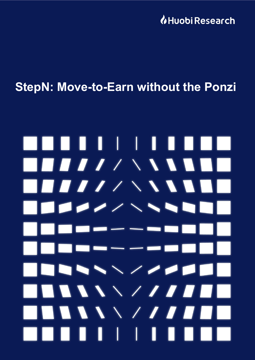**U**Huobi Research

## **StepN: Move-to-Earn without the Ponzi**

# . . . . . . . H.  $\blacksquare$  $\blacksquare$  $-$ **The Company** THE STATE OF STRIKE  $\blacksquare$ **AAAAAZAA** . . . .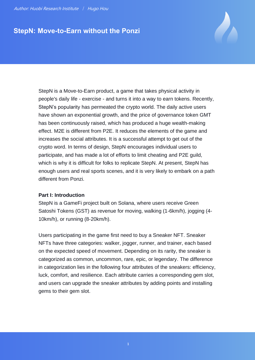### **StepN: Move-to-Earn without the Ponzi**

StepN is a Move-to-Earn product, a game that takes physical activity in people's daily life - exercise - and turns it into a way to earn tokens. Recently, StepN's popularity has permeated the crypto world. The daily active users have shown an exponential growth, and the price of governance token GMT has been continuously raised, which has produced a huge wealth-making effect. M2E is different from P2E. It reduces the elements of the game and increases the social attributes. It is a successful attempt to get out of the crypto word. In terms of design, StepN encourages individual users to participate, and has made a lot of efforts to limit cheating and P2E guild, which is why it is difficult for folks to replicate StepN. At present, StepN has enough users and real sports scenes, and it is very likely to embark on a path different from Ponzi.

#### **Part I: Introduction**

StepN is a GameFi project built on Solana, where users receive Green Satoshi Tokens (GST) as revenue for moving, walking (1-6km/h), jogging (4- 10km/h), or running (8-20km/h).

Users participating in the game first need to buy a Sneaker NFT. Sneaker NFTs have three categories: walker, jogger, runner, and trainer, each based on the expected speed of movement. Depending on its rarity, the sneaker is categorized as common, uncommon, rare, epic, or legendary. The difference in categorization lies in the following four attributes of the sneakers: efficiency, luck, comfort, and resilience. Each attribute carries a corresponding gem slot, and users can upgrade the sneaker attributes by adding points and installing gems to their gem slot.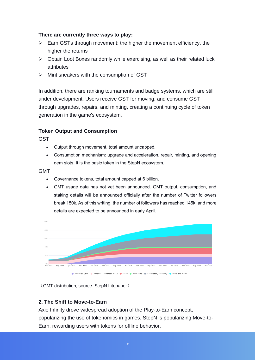#### **There are currently three ways to play:**

- $\triangleright$  Earn GSTs through movement; the higher the movement efficiency, the higher the returns
- ➢ Obtain Loot Boxes randomly while exercising, as well as their related luck attributes
- ➢ Mint sneakers with the consumption of GST

In addition, there are ranking tournaments and badge systems, which are still under development. Users receive GST for moving, and consume GST through upgrades, repairs, and minting, creating a continuing cycle of token generation in the game's ecosystem.

#### **Token Output and Consumption**

**GST** 

- Output through movement, total amount uncapped.
- Consumption mechanism: upgrade and acceleration, repair, minting, and opening gem slots. It is the basic token in the StepN ecosystem.

#### GMT

- Governance tokens, total amount capped at 6 billion.
- GMT usage data has not yet been announced. GMT output, consumption, and staking details will be announced officially after the number of Twitter followers break 150k. As of this writing, the number of followers has reached 145k, and more details are expected to be announced in early April.



(GMT distribution, source: StepN Litepaper)

#### **2. The Shift to Move-to-Earn**

Axie Infinity drove widespread adoption of the Play-to-Earn concept, popularizing the use of tokenomics in games. StepN is popularizing Move-to-Earn, rewarding users with tokens for offline behavior.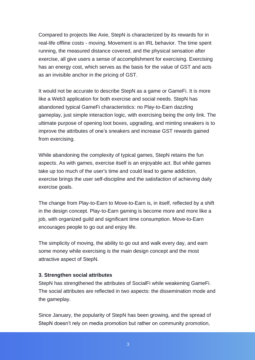Compared to projects like Axie, StepN is characterized by its rewards for in real-life offline costs - moving. Movement is an IRL behavior. The time spent running, the measured distance covered, and the physical sensation after exercise, all give users a sense of accomplishment for exercising. Exercising has an energy cost, which serves as the basis for the value of GST and acts as an invisible anchor in the pricing of GST.

It would not be accurate to describe StepN as a game or GameFi. It is more like a Web3 application for both exercise and social needs. StepN has abandoned typical GameFi characteristics: no Play-to-Earn dazzling gameplay, just simple interaction logic, with exercising being the only link. The ultimate purpose of opening loot boxes, upgrading, and minting sneakers is to improve the attributes of one's sneakers and increase GST rewards gained from exercising.

While abandoning the complexity of typical games, StepN retains the fun aspects. As with games, exercise itself is an enjoyable act. But while games take up too much of the user's time and could lead to game addiction, exercise brings the user self-discipline and the satisfaction of achieving daily exercise goals.

The change from Play-to-Earn to Move-to-Earn is, in itself, reflected by a shift in the design concept. Play-to-Earn gaming is become more and more like a job, with organized guild and significant time consumption. Move-to-Earn encourages people to go out and enjoy life.

The simplicity of moving, the ability to go out and walk every day, and earn some money while exercising is the main design concept and the most attractive aspect of StepN.

#### **3. Strengthen social attributes**

StepN has strengthened the attributes of SocialFi while weakening GameFi. The social attributes are reflected in two aspects: the dissemination mode and the gameplay.

Since January, the popularity of StepN has been growing, and the spread of StepN doesn't rely on media promotion but rather on community promotion,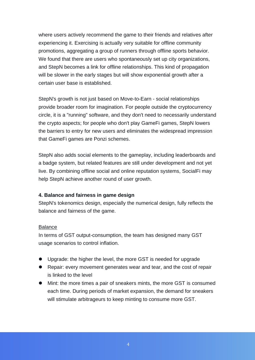where users actively recommend the game to their friends and relatives after experiencing it. Exercising is actually very suitable for offline community promotions, aggregating a group of runners through offline sports behavior. We found that there are users who spontaneously set up city organizations, and StepN becomes a link for offline relationships. This kind of propagation will be slower in the early stages but will show exponential growth after a certain user base is established.

StepN's growth is not just based on Move-to-Earn - social relationships provide broader room for imagination. For people outside the cryptocurrency circle, it is a "running" software, and they don't need to necessarily understand the crypto aspects; for people who don't play GameFi games, StepN lowers the barriers to entry for new users and eliminates the widespread impression that GameFi games are Ponzi schemes.

StepN also adds social elements to the gameplay, including leaderboards and a badge system, but related features are still under development and not yet live. By combining offline social and online reputation systems, SocialFi may help StepN achieve another round of user growth.

#### **4. Balance and fairness in game design**

StepN's tokenomics design, especially the numerical design, fully reflects the balance and fairness of the game.

#### Balance

In terms of GST output-consumption, the team has designed many GST usage scenarios to control inflation.

- Upgrade: the higher the level, the more GST is needed for upgrade
- Repair: every movement generates wear and tear, and the cost of repair is linked to the level
- ⚫ Mint: the more times a pair of sneakers mints, the more GST is consumed each time. During periods of market expansion, the demand for sneakers will stimulate arbitrageurs to keep minting to consume more GST.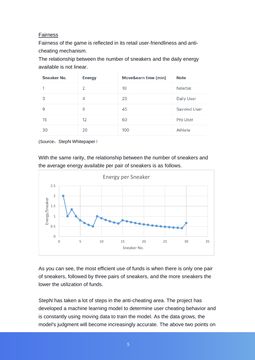#### Fairness

Fairness of the game is reflected in its retail user-friendliness and anticheating mechanism.

The relationship between the number of sneakers and the daily energy available is not linear.

| Sneaker No. | <b>Energy</b> | Move&earn time (min) | <b>Note</b>  |
|-------------|---------------|----------------------|--------------|
| 1           | 2             | 10                   | Newbie       |
| 3           | 4             | 20                   | Daily User   |
| 9           | 9             | 45                   | Savvied User |
| 15          | 12            | 60                   | Pro User     |
| 30          | 20            | 100                  | Athlete      |

(Source: StepN Whitepaper)

With the same rarity, the relationship between the number of sneakers and the average energy available per pair of sneakers is as follows.



As you can see, the most efficient use of funds is when there is only one pair of sneakers, followed by three pairs of sneakers, and the more sneakers the lower the utilization of funds.

StepN has taken a lot of steps in the anti-cheating area. The project has developed a machine learning model to determine user cheating behavior and is constantly using moving data to train the model. As the data grows, the model's judgment will become increasingly accurate. The above two points on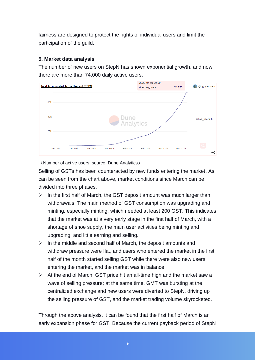fairness are designed to protect the rights of individual users and limit the participation of the guild.

#### **5. Market data analysis**

The number of new users on StepN has shown exponential growth, and now there are more than 74,000 daily active users.



(Number of active users, source: Dune Analytics)

Selling of GSTs has been counteracted by new funds entering the market. As can be seen from the chart above, market conditions since March can be divided into three phases.

- $\triangleright$  In the first half of March, the GST deposit amount was much larger than withdrawals. The main method of GST consumption was upgrading and minting, especially minting, which needed at least 200 GST. This indicates that the market was at a very early stage in the first half of March, with a shortage of shoe supply, the main user activities being minting and upgrading, and little earning and selling.
- $\triangleright$  In the middle and second half of March, the deposit amounts and withdraw pressure were flat, and users who entered the market in the first half of the month started selling GST while there were also new users entering the market, and the market was in balance.
- $\triangleright$  At the end of March, GST price hit an all-time high and the market saw a wave of selling pressure; at the same time, GMT was bursting at the centralized exchange and new users were diverted to StepN, driving up the selling pressure of GST, and the market trading volume skyrocketed.

Through the above analysis, it can be found that the first half of March is an early expansion phase for GST. Because the current payback period of StepN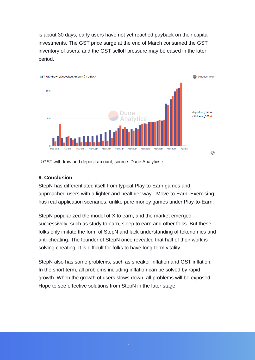is about 30 days, early users have not yet reached payback on their capital investments. The GST price surge at the end of March consumed the GST inventory of users, and the GST selloff pressure may be eased in the later period.



(GST withdraw and deposit amount, source: Dune Analytics)

#### **6. Conclusion**

StepN has differentiated itself from typical Play-to-Earn games and approached users with a lighter and healthier way - Move-to-Earn. Exercising has real application scenarios, unlike pure money games under Play-to-Earn.

StepN popularized the model of X to earn, and the market emerged successively, such as study to earn, sleep to earn and other folks. But these folks only imitate the form of StepN and lack understanding of tokenomics and anti-cheating. The founder of StepN once revealed that half of their work is solving cheating. It is difficult for folks to have long-term vitality.

StepN also has some problems, such as sneaker inflation and GST inflation. In the short term, all problems including inflation can be solved by rapid growth. When the growth of users slows down, all problems will be exposed. Hope to see effective solutions from StepN in the later stage.